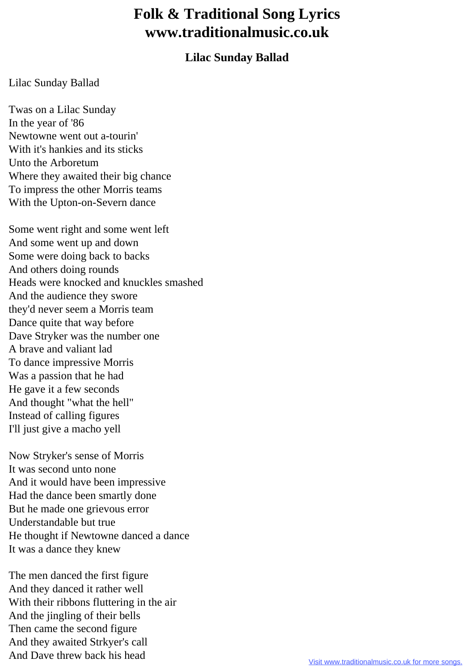## **Folk & Traditional Song Lyrics www.traditionalmusic.co.uk**

## **Lilac Sunday Ballad**

## Lilac Sunday Ballad

Twas on a Lilac Sunday In the year of '86 Newtowne went out a-tourin' With it's hankies and its sticks Unto the Arboretum Where they awaited their big chance To impress the other Morris teams With the Upton-on-Severn dance

Some went right and some went left And some went up and down Some were doing back to backs And others doing rounds Heads were knocked and knuckles smashed And the audience they swore they'd never seem a Morris team Dance quite that way before Dave Stryker was the number one A brave and valiant lad To dance impressive Morris Was a passion that he had He gave it a few seconds And thought "what the hell" Instead of calling figures I'll just give a macho yell

Now Stryker's sense of Morris It was second unto none And it would have been impressive Had the dance been smartly done But he made one grievous error Understandable but true He thought if Newtowne danced a dance It was a dance they knew

The men danced the first figure And they danced it rather well With their ribbons fluttering in the air And the jingling of their bells Then came the second figure And they awaited Strkyer's call And Dave threw back his head